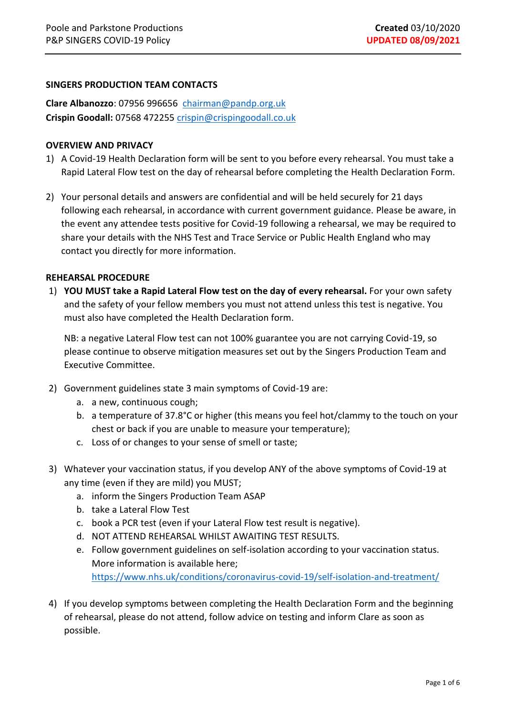## **SINGERS PRODUCTION TEAM CONTACTS**

**Clare Albanozzo**: 07956 996656 [chairman@pandp.org.uk](mailto:chairman@pandp.org.uk)  **Crispin Goodall:** 07568 472255 [crispin@crispingoodall.co.uk](mailto:crispin@crispingoodall.co.uk)

#### **OVERVIEW AND PRIVACY**

- 1) A Covid-19 Health Declaration form will be sent to you before every rehearsal. You must take a Rapid Lateral Flow test on the day of rehearsal before completing the Health Declaration Form.
- 2) Your personal details and answers are confidential and will be held securely for 21 days following each rehearsal, in accordance with current government guidance. Please be aware, in the event any attendee tests positive for Covid-19 following a rehearsal, we may be required to share your details with the NHS Test and Trace Service or Public Health England who may contact you directly for more information.

#### **REHEARSAL PROCEDURE**

1) **YOU MUST take a Rapid Lateral Flow test on the day of every rehearsal.** For your own safety and the safety of your fellow members you must not attend unless this test is negative. You must also have completed the Health Declaration form.

NB: a negative Lateral Flow test can not 100% guarantee you are not carrying Covid-19, so please continue to observe mitigation measures set out by the Singers Production Team and Executive Committee.

- 2) Government guidelines state 3 main symptoms of Covid-19 are:
	- a. a new, continuous cough;
	- b. a temperature of 37.8°C or higher (this means you feel hot/clammy to the touch on your chest or back if you are unable to measure your temperature);
	- c. Loss of or changes to your sense of smell or taste;
- 3) Whatever your vaccination status, if you develop ANY of the above symptoms of Covid-19 at any time (even if they are mild) you MUST;
	- a. inform the Singers Production Team ASAP
	- b. take a Lateral Flow Test
	- c. book a PCR test (even if your Lateral Flow test result is negative).
	- d. NOT ATTEND REHEARSAL WHILST AWAITING TEST RESULTS.
	- e. Follow government guidelines on self-isolation according to your vaccination status. More information is available here; <https://www.nhs.uk/conditions/coronavirus-covid-19/self-isolation-and-treatment/>
- 4) If you develop symptoms between completing the Health Declaration Form and the beginning of rehearsal, please do not attend, follow advice on testing and inform Clare as soon as possible.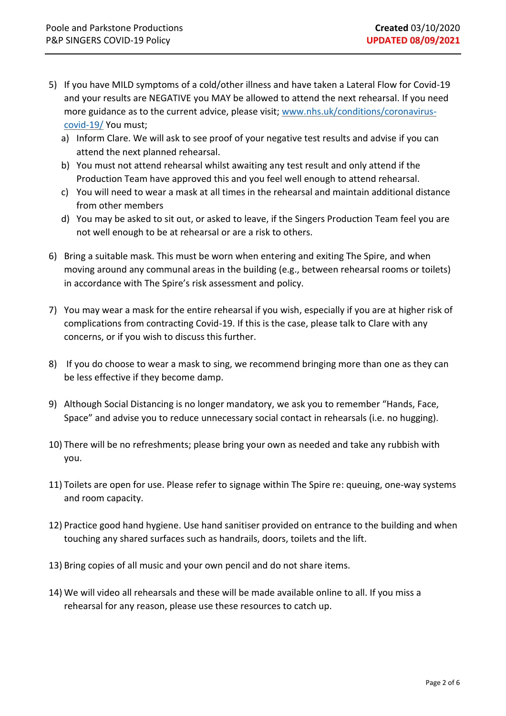- 5) If you have MILD symptoms of a cold/other illness and have taken a Lateral Flow for Covid-19 and your results are NEGATIVE you MAY be allowed to attend the next rehearsal. If you need more guidance as to the current advice, please visit; [www.nhs.uk/conditions/coronavirus](http://www.nhs.uk/conditions/coronavirus-covid-19/)[covid-19/](http://www.nhs.uk/conditions/coronavirus-covid-19/) You must;
	- a) Inform Clare. We will ask to see proof of your negative test results and advise if you can attend the next planned rehearsal.
	- b) You must not attend rehearsal whilst awaiting any test result and only attend if the Production Team have approved this and you feel well enough to attend rehearsal.
	- c) You will need to wear a mask at all times in the rehearsal and maintain additional distance from other members
	- d) You may be asked to sit out, or asked to leave, if the Singers Production Team feel you are not well enough to be at rehearsal or are a risk to others.
- 6) Bring a suitable mask. This must be worn when entering and exiting The Spire, and when moving around any communal areas in the building (e.g., between rehearsal rooms or toilets) in accordance with The Spire's risk assessment and policy.
- 7) You may wear a mask for the entire rehearsal if you wish, especially if you are at higher risk of complications from contracting Covid-19. If this is the case, please talk to Clare with any concerns, or if you wish to discuss this further.
- 8) If you do choose to wear a mask to sing, we recommend bringing more than one as they can be less effective if they become damp.
- 9) Although Social Distancing is no longer mandatory, we ask you to remember "Hands, Face, Space" and advise you to reduce unnecessary social contact in rehearsals (i.e. no hugging).
- 10) There will be no refreshments; please bring your own as needed and take any rubbish with you.
- 11) Toilets are open for use. Please refer to signage within The Spire re: queuing, one-way systems and room capacity.
- 12) Practice good hand hygiene. Use hand sanitiser provided on entrance to the building and when touching any shared surfaces such as handrails, doors, toilets and the lift.
- 13) Bring copies of all music and your own pencil and do not share items.
- 14) We will video all rehearsals and these will be made available online to all. If you miss a rehearsal for any reason, please use these resources to catch up.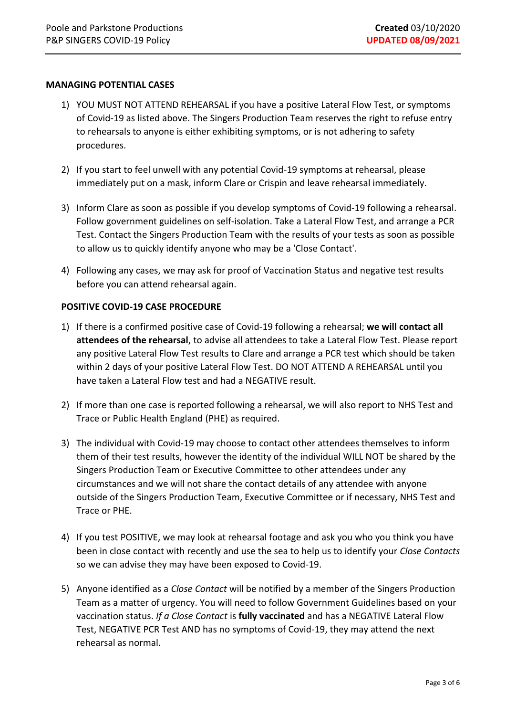### **MANAGING POTENTIAL CASES**

- 1) YOU MUST NOT ATTEND REHEARSAL if you have a positive Lateral Flow Test, or symptoms of Covid-19 as listed above. The Singers Production Team reserves the right to refuse entry to rehearsals to anyone is either exhibiting symptoms, or is not adhering to safety procedures.
- 2) If you start to feel unwell with any potential Covid-19 symptoms at rehearsal, please immediately put on a mask, inform Clare or Crispin and leave rehearsal immediately.
- 3) Inform Clare as soon as possible if you develop symptoms of Covid-19 following a rehearsal. Follow government guidelines on self-isolation. Take a Lateral Flow Test, and arrange a PCR Test. Contact the Singers Production Team with the results of your tests as soon as possible to allow us to quickly identify anyone who may be a 'Close Contact'.
- 4) Following any cases, we may ask for proof of Vaccination Status and negative test results before you can attend rehearsal again.

### **POSITIVE COVID-19 CASE PROCEDURE**

- 1) If there is a confirmed positive case of Covid-19 following a rehearsal; **we will contact all attendees of the rehearsal**, to advise all attendees to take a Lateral Flow Test. Please report any positive Lateral Flow Test results to Clare and arrange a PCR test which should be taken within 2 days of your positive Lateral Flow Test. DO NOT ATTEND A REHEARSAL until you have taken a Lateral Flow test and had a NEGATIVE result.
- 2) If more than one case is reported following a rehearsal, we will also report to NHS Test and Trace or Public Health England (PHE) as required.
- 3) The individual with Covid-19 may choose to contact other attendees themselves to inform them of their test results, however the identity of the individual WILL NOT be shared by the Singers Production Team or Executive Committee to other attendees under any circumstances and we will not share the contact details of any attendee with anyone outside of the Singers Production Team, Executive Committee or if necessary, NHS Test and Trace or PHE.
- 4) If you test POSITIVE, we may look at rehearsal footage and ask you who you think you have been in close contact with recently and use the sea to help us to identify your *Close Contacts* so we can advise they may have been exposed to Covid-19.
- 5) Anyone identified as a *Close Contact* will be notified by a member of the Singers Production Team as a matter of urgency. You will need to follow Government Guidelines based on your vaccination status. *If a Close Contact* is **fully vaccinated** and has a NEGATIVE Lateral Flow Test, NEGATIVE PCR Test AND has no symptoms of Covid-19, they may attend the next rehearsal as normal.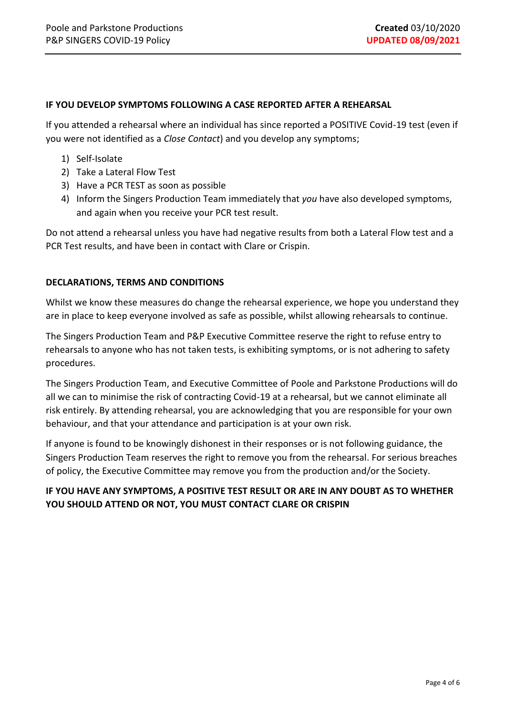### **IF YOU DEVELOP SYMPTOMS FOLLOWING A CASE REPORTED AFTER A REHEARSAL**

If you attended a rehearsal where an individual has since reported a POSITIVE Covid-19 test (even if you were not identified as a *Close Contact*) and you develop any symptoms;

- 1) Self-Isolate
- 2) Take a Lateral Flow Test
- 3) Have a PCR TEST as soon as possible
- 4) Inform the Singers Production Team immediately that *you* have also developed symptoms, and again when you receive your PCR test result.

Do not attend a rehearsal unless you have had negative results from both a Lateral Flow test and a PCR Test results, and have been in contact with Clare or Crispin.

### **DECLARATIONS, TERMS AND CONDITIONS**

Whilst we know these measures do change the rehearsal experience, we hope you understand they are in place to keep everyone involved as safe as possible, whilst allowing rehearsals to continue.

The Singers Production Team and P&P Executive Committee reserve the right to refuse entry to rehearsals to anyone who has not taken tests, is exhibiting symptoms, or is not adhering to safety procedures.

The Singers Production Team, and Executive Committee of Poole and Parkstone Productions will do all we can to minimise the risk of contracting Covid-19 at a rehearsal, but we cannot eliminate all risk entirely. By attending rehearsal, you are acknowledging that you are responsible for your own behaviour, and that your attendance and participation is at your own risk.

If anyone is found to be knowingly dishonest in their responses or is not following guidance, the Singers Production Team reserves the right to remove you from the rehearsal. For serious breaches of policy, the Executive Committee may remove you from the production and/or the Society.

# **IF YOU HAVE ANY SYMPTOMS, A POSITIVE TEST RESULT OR ARE IN ANY DOUBT AS TO WHETHER YOU SHOULD ATTEND OR NOT, YOU MUST CONTACT CLARE OR CRISPIN**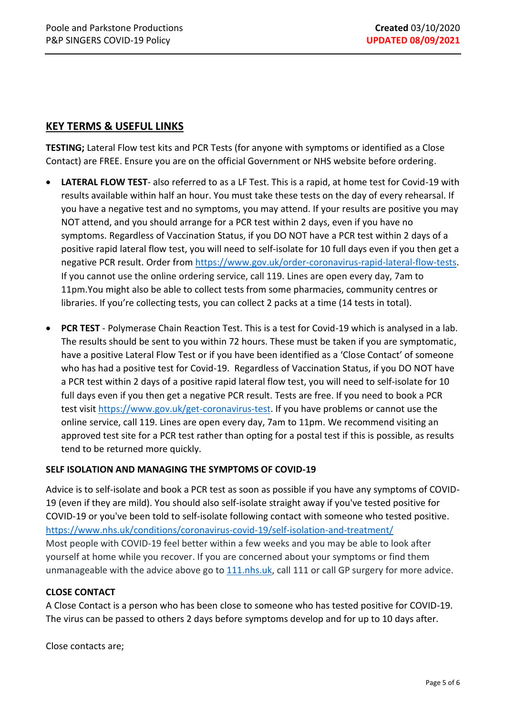# **KEY TERMS & USEFUL LINKS**

**TESTING;** Lateral Flow test kits and PCR Tests (for anyone with symptoms or identified as a Close Contact) are FREE. Ensure you are on the official Government or NHS website before ordering.

- **LATERAL FLOW TEST** also referred to as a LF Test. This is a rapid, at home test for Covid-19 with results available within half an hour. You must take these tests on the day of every rehearsal. If you have a negative test and no symptoms, you may attend. If your results are positive you may NOT attend, and you should arrange for a PCR test within 2 days, even if you have no symptoms. Regardless of Vaccination Status, if you DO NOT have a PCR test within 2 days of a positive rapid lateral flow test, you will need to self-isolate for 10 full days even if you then get a negative PCR result. Order from [https://www.gov.uk/order-coronavirus-rapid-lateral-flow-tests.](https://www.gov.uk/order-coronavirus-rapid-lateral-flow-tests) If you cannot use the online ordering service, call 119. Lines are open every day, 7am to 11pm.You might also be able to collect tests from some pharmacies, community centres or libraries. If you're collecting tests, you can collect 2 packs at a time (14 tests in total).
- **PCR TEST** Polymerase Chain Reaction Test. This is a test for Covid-19 which is analysed in a lab. The results should be sent to you within 72 hours. These must be taken if you are symptomatic, have a positive Lateral Flow Test or if you have been identified as a 'Close Contact' of someone who has had a positive test for Covid-19. Regardless of Vaccination Status, if you DO NOT have a PCR test within 2 days of a positive rapid lateral flow test, you will need to self-isolate for 10 full days even if you then get a negative PCR result. Tests are free. If you need to book a PCR test visit [https://www.gov.uk/get-coronavirus-test.](https://www.gov.uk/get-coronavirus-test) If you have problems or cannot use the online service, call 119. Lines are open every day, 7am to 11pm. We recommend visiting an approved test site for a PCR test rather than opting for a postal test if this is possible, as results tend to be returned more quickly.

# **SELF ISOLATION AND MANAGING THE SYMPTOMS OF COVID-19**

Advice is to self-isolate and book a PCR test as soon as possible if you have any symptoms of COVID-19 (even if they are mild). You should also self-isolate straight away if you've tested positive for COVID-19 or you've been told to self-isolate following contact with someone who tested positive. <https://www.nhs.uk/conditions/coronavirus-covid-19/self-isolation-and-treatment/> Most people with COVID-19 feel better within a few weeks and you may be able to look after yourself at home while you recover. If you are concerned about your symptoms or find them unmanageable with the advice above go to [111.nhs.uk,](https://111.nhs.uk/covid-19/) call 111 or call GP surgery for more advice.

# **CLOSE CONTACT**

A Close Contact is a person who has been close to someone who has tested positive for COVID-19. The virus can be passed to others 2 days before symptoms develop and for up to 10 days after.

Close contacts are;